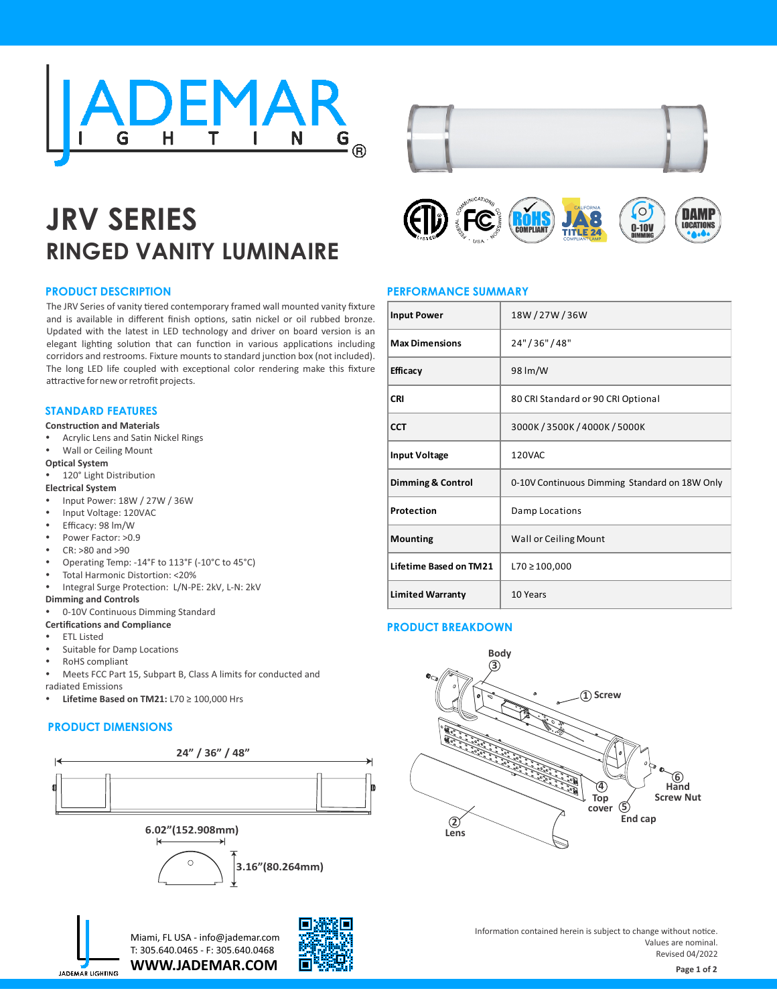

# **JRV SERIES RINGED VANITY LUMINAIRE**



**LOCATIONS** 

 $0-10V$ 



## **PERFORMANCE SUMMARY Input Power** 18W / 27W / 36W **Max Dimensions** 24" / 36" / 48" **Efficacy** 98 lm/W **CRI** 80 CRI Standard or 90 CRI Optional **CCT** 3000K / 3500K / 4000K / 5000K **Input Voltage** | 120VAC **Dimming & Control** 0-10V Continuous Dimming Standard on 18W Only **Protection Damp Locations Mounting Wall or Ceiling Mount Lifetime Based on TM21** L70 ≥ 100,000 **Limited Warranty** 10 Years

## **PRODUCT BREAKDOWN**



Information contained herein is subject to change without notice. Values are nominal. Revised 04/2022

### **PRODUCT DESCRIPTION**

The JRV Series of vanity tiered contemporary framed wall mounted vanity fixture and is available in different finish options, satin nickel or oil rubbed bronze. Updated with the latest in LED technology and driver on board version is an elegant lighting solution that can function in various applications including corridors and restrooms. Fixture mounts to standard junction box (not included). The long LED life coupled with exceptional color rendering make this fixture attractive for new or retrofit projects.

#### **STANDARD FEATURES**

#### **Construction and Materials**

- Acrylic Lens and Satin Nickel Rings
- Wall or Ceiling Mount

#### **Optical System**

- 120° Light Distribution
- **Electrical System**
- Input Power: 18W / 27W / 36W
- Input Voltage: 120VAC
- Efficacy: 98 lm/W
- Power Factor: >0.9
- CR: >80 and >90
- Operating Temp: -14°F to 113°F (-10°C to 45°C)
- Total Harmonic Distortion: <20%
- Integral Surge Protection: L/N-PE: 2kV, L-N: 2kV

#### **Dimming and Controls**

- 0-10V Continuous Dimming Standard
- **Certifications and Compliance**
- **ETL Listed**
- Suitable for Damp Locations
- RoHS compliant
- Meets FCC Part 15, Subpart B, Class A limits for conducted and radiated Emissions
- **Lifetime Based on TM21:** L70 ≥ 100,000 Hrs

#### **PRODUCT DIMENSIONS**







**WWW.JADEMAR.COM** Miami, FL USA - info@jademar.com T: 305.640.0465 - F: 305.640.0468